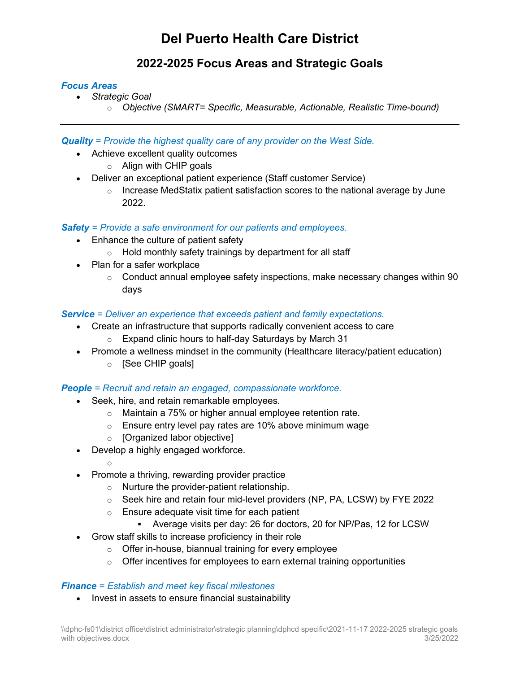# **Del Puerto Health Care District**

# **2022-2025 Focus Areas and Strategic Goals**

### *Focus Areas*

- *Strategic Goal* 
	- o *Objective (SMART= Specific, Measurable, Actionable, Realistic Time-bound)*

*Quality = Provide the highest quality care of any provider on the West Side.*

- Achieve excellent quality outcomes
	- o Align with CHIP goals
- Deliver an exceptional patient experience (Staff customer Service)
	- $\circ$  Increase MedStatix patient satisfaction scores to the national average by June 2022.

### *Safety = Provide a safe environment for our patients and employees.*

- Enhance the culture of patient safety
	- $\circ$  Hold monthly safety trainings by department for all staff
- Plan for a safer workplace
	- $\circ$  Conduct annual employee safety inspections, make necessary changes within 90 days

### *Service = Deliver an experience that exceeds patient and family expectations.*

- Create an infrastructure that supports radically convenient access to care
	- $\circ$  Expand clinic hours to half-day Saturdays by March 31
- Promote a wellness mindset in the community (Healthcare literacy/patient education)
	- o [See CHIP goals]

### *People = Recruit and retain an engaged, compassionate workforce.*

- Seek, hire, and retain remarkable employees.
	- o Maintain a 75% or higher annual employee retention rate.
	- $\circ$  Ensure entry level pay rates are 10% above minimum wage
	- o [Organized labor objective]
- Develop a highly engaged workforce.
	- o
- Promote a thriving, rewarding provider practice
	- o Nurture the provider-patient relationship.
	- $\circ$  Seek hire and retain four mid-level providers (NP, PA, LCSW) by FYE 2022
	- o Ensure adequate visit time for each patient
		- Average visits per day: 26 for doctors, 20 for NP/Pas, 12 for LCSW
- Grow staff skills to increase proficiency in their role
	- o Offer in-house, biannual training for every employee
	- $\circ$  Offer incentives for employees to earn external training opportunities

### *Finance = Establish and meet key fiscal milestones*

• Invest in assets to ensure financial sustainability